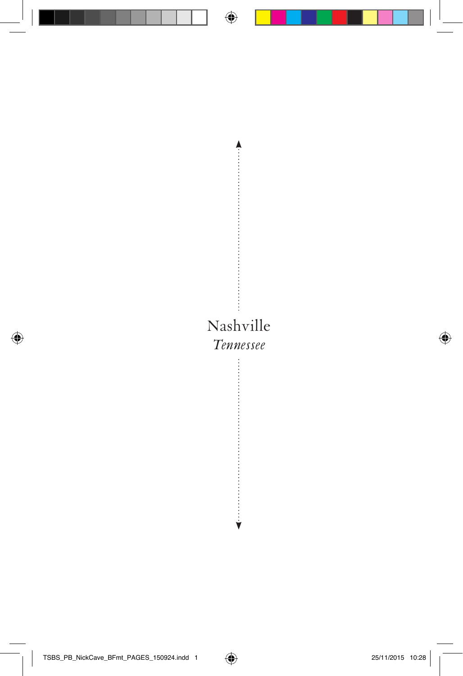### Nashville *Tennessee*

 $\vdots$ 

 $\begin{minipage}{.4\textwidth} \begin{minipage}{.4\textwidth} \centering \begin{minipage}{.4\textwidth} \centering \end{minipage} \begin{minipage}{.4\textwidth} \centering \begin{minipage}{.4\textwidth} \centering \end{minipage} \begin{minipage}{.4\textwidth} \centering \end{minipage} \begin{minipage}{.4\textwidth} \centering \end{minipage} \begin{minipage}{.4\textwidth} \centering \begin{minipage}{.4\textwidth} \centering \end{minipage} \begin{minipage}{.4\textwidth} \centering \end{minipage} \begin{minipage}{.4\textwidth} \centering \end{minip$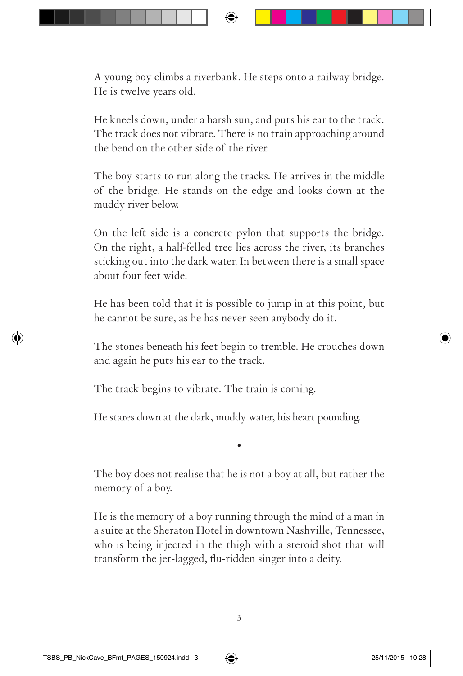A young boy climbs a riverbank. He steps onto a railway bridge. He is twelve years old.

He kneels down, under a harsh sun, and puts his ear to the track. The track does not vibrate. There is no train approaching around the bend on the other side of the river.

The boy starts to run along the tracks. He arrives in the middle of the bridge. He stands on the edge and looks down at the muddy river below.

On the left side is a concrete pylon that supports the bridge. On the right, a half-felled tree lies across the river, its branches sticking out into the dark water. In between there is a small space about four feet wide.

He has been told that it is possible to jump in at this point, but he cannot be sure, as he has never seen anybody do it.

The stones beneath his feet begin to tremble. He crouches down and again he puts his ear to the track.

The track begins to vibrate. The train is coming.

He stares down at the dark, muddy water, his heart pounding.

The boy does not realise that he is not a boy at all, but rather the memory of a boy.

•

He is the memory of a boy running through the mind of a man in a suite at the Sheraton Hotel in downtown Nashville, Tennessee, who is being injected in the thigh with a steroid shot that will transform the jet-lagged, flu-ridden singer into a deity.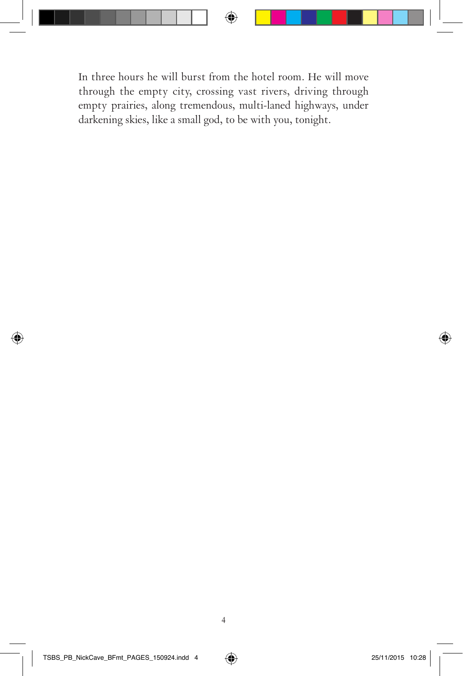In three hours he will burst from the hotel room. He will move through the empty city, crossing vast rivers, driving through empty prairies, along tremendous, multi-laned highways, under darkening skies, like a small god, to be with you, tonight.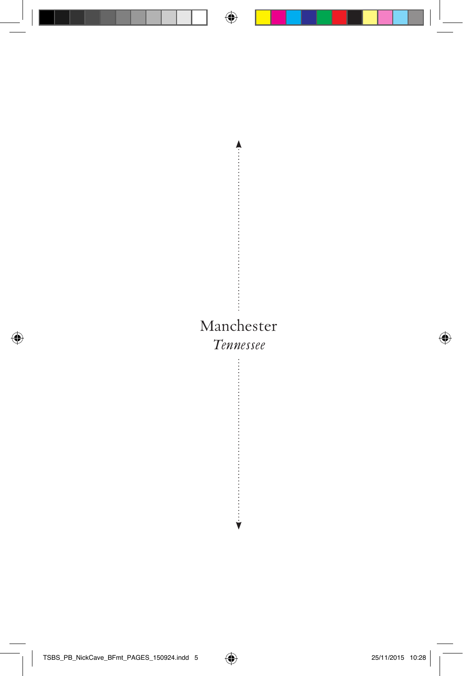# Manchester

 $\begin{minipage}{.4\textwidth} \begin{minipage}{.4\textwidth} \centering \begin{minipage}{.4\textwidth} \centering \end{minipage} \begin{minipage}{.4\textwidth} \centering \begin{minipage}{.4\textwidth} \centering \end{minipage} \begin{minipage}{.4\textwidth} \centering \end{minipage} \begin{minipage}{.4\textwidth} \centering \end{minipage} \begin{minipage}{.4\textwidth} \centering \begin{minipage}{.4\textwidth} \centering \end{minipage} \begin{minipage}{.4\textwidth} \centering \end{minipage} \begin{minipage}{.4\textwidth} \centering \end{minip$ 

*Tennessee*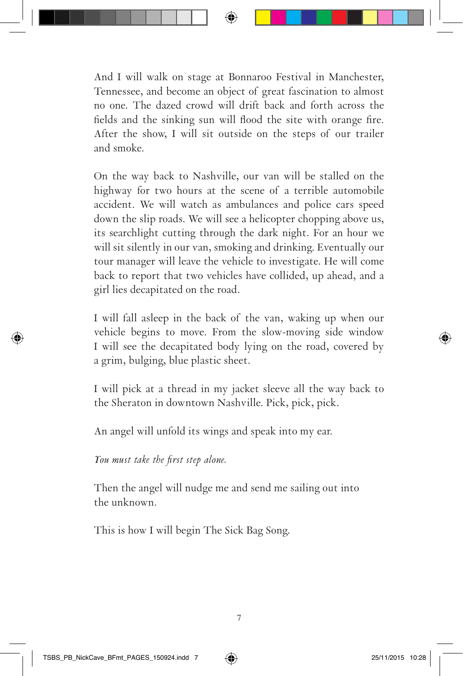And I will walk on stage at Bonnaroo Festival in Manchester, Tennessee, and become an object of great fascination to almost no one. The dazed crowd will drift back and forth across the fields and the sinking sun will flood the site with orange fire. After the show, I will sit outside on the steps of our trailer and smoke.

On the way back to Nashville, our van will be stalled on the highway for two hours at the scene of a terrible automobile accident. We will watch as ambulances and police cars speed down the slip roads. We will see a helicopter chopping above us, its searchlight cutting through the dark night. For an hour we will sit silently in our van, smoking and drinking. Eventually our tour manager will leave the vehicle to investigate. He will come back to report that two vehicles have collided, up ahead, and a girl lies decapitated on the road.

I will fall asleep in the back of the van, waking up when our vehicle begins to move. From the slow-moving side window I will see the decapitated body lying on the road, covered by a grim, bulging, blue plastic sheet.

I will pick at a thread in my jacket sleeve all the way back to the Sheraton in downtown Nashville. Pick, pick, pick.

An angel will unfold its wings and speak into my ear.

*You must take the first step alone.*

Then the angel will nudge me and send me sailing out into the unknown.

This is how I will begin The Sick Bag Song.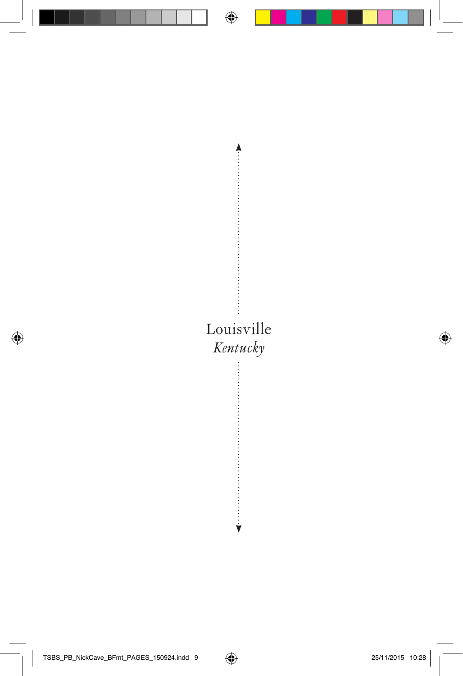# Louisville *Kentucky*

 $\begin{minipage}{.4\linewidth} \begin{tabular}{l} \hline \textbf{A} & \textbf{B} & \textbf{B} & \textbf{B} & \textbf{B} & \textbf{B} & \textbf{B} & \textbf{B} & \textbf{B} & \textbf{B} & \textbf{B} & \textbf{B} & \textbf{B} & \textbf{B} & \textbf{B} & \textbf{B} & \textbf{B} & \textbf{B} & \textbf{B} & \textbf{B} & \textbf{B} & \textbf{B} & \textbf{B} & \textbf{B} & \textbf{B} & \textbf{B} & \textbf{B} & \textbf{B} & \$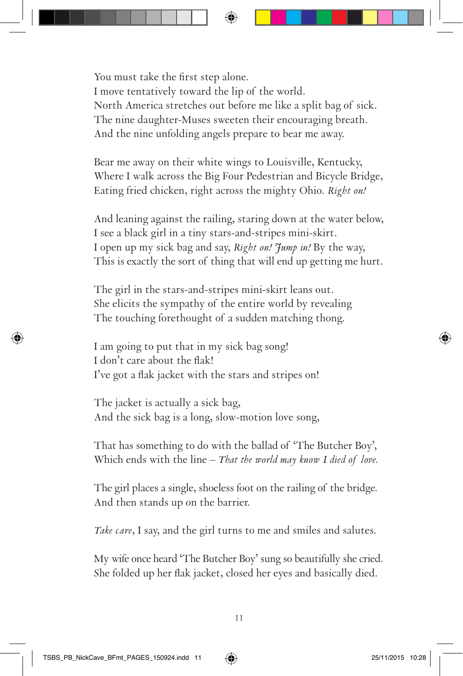You must take the first step alone. I move tentatively toward the lip of the world. North America stretches out before me like a split bag of sick. The nine daughter-Muses sweeten their encouraging breath. And the nine unfolding angels prepare to bear me away.

Bear me away on their white wings to Louisville, Kentucky, Where I walk across the Big Four Pedestrian and Bicycle Bridge, Eating fried chicken, right across the mighty Ohio. *Right on!*

And leaning against the railing, staring down at the water below, I see a black girl in a tiny stars-and-stripes mini-skirt. I open up my sick bag and say, *Right on! Jump in!* By the way, This is exactly the sort of thing that will end up getting me hurt.

The girl in the stars-and-stripes mini-skirt leans out. She elicits the sympathy of the entire world by revealing The touching forethought of a sudden matching thong.

I am going to put that in my sick bag song! I don't care about the flak! I've got a flak jacket with the stars and stripes on!

The jacket is actually a sick bag, And the sick bag is a long, slow-motion love song,

That has something to do with the ballad of 'The Butcher Boy', Which ends with the line – *That the world may know I died of love.*

The girl places a single, shoeless foot on the railing of the bridge. And then stands up on the barrier.

*Take care*, I say, and the girl turns to me and smiles and salutes.

My wife once heard 'The Butcher Boy' sung so beautifully she cried. She folded up her flak jacket, closed her eyes and basically died.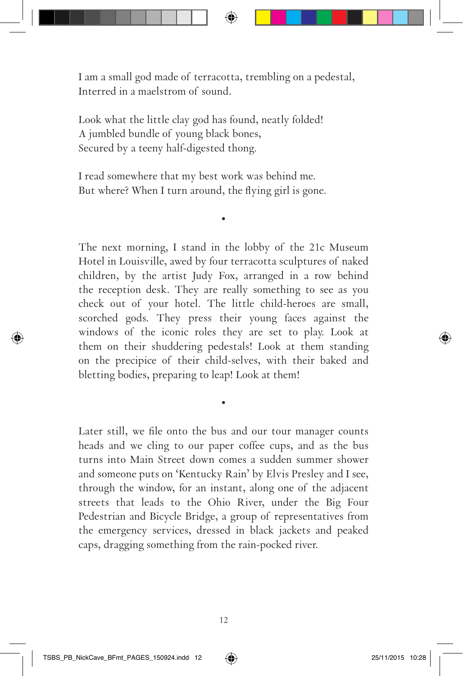I am a small god made of terracotta, trembling on a pedestal, Interred in a maelstrom of sound.

Look what the little clay god has found, neatly folded! A jumbled bundle of young black bones, Secured by a teeny half-digested thong.

I read somewhere that my best work was behind me. But where? When I turn around, the flying girl is gone.

The next morning, I stand in the lobby of the 21c Museum Hotel in Louisville, awed by four terracotta sculptures of naked children, by the artist Judy Fox, arranged in a row behind the reception desk. They are really something to see as you check out of your hotel. The little child-heroes are small, scorched gods. They press their young faces against the windows of the iconic roles they are set to play. Look at them on their shuddering pedestals! Look at them standing on the precipice of their child-selves, with their baked and bletting bodies, preparing to leap! Look at them!

•

Later still, we file onto the bus and our tour manager counts heads and we cling to our paper coffee cups, and as the bus turns into Main Street down comes a sudden summer shower and someone puts on 'Kentucky Rain' by Elvis Presley and I see, through the window, for an instant, along one of the adjacent streets that leads to the Ohio River, under the Big Four Pedestrian and Bicycle Bridge, a group of representatives from the emergency services, dressed in black jackets and peaked caps, dragging something from the rain-pocked river.

•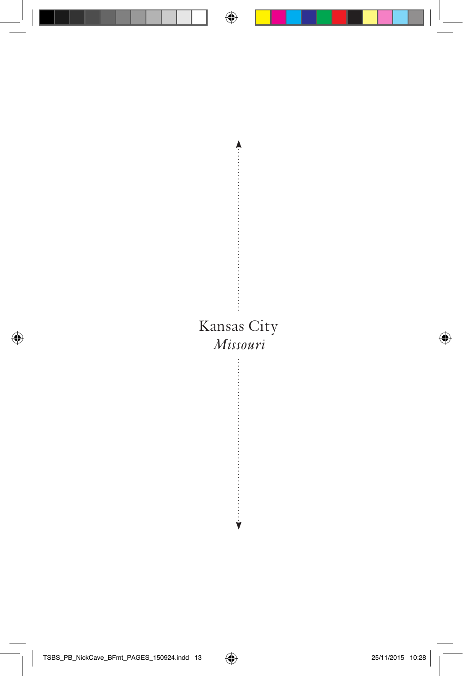### Kansas City *Missouri*

 $\begin{minipage}{.4\linewidth} \begin{tabular}{l} \hline \textbf{A} & \textbf{B} & \textbf{B} & \textbf{B} & \textbf{B} & \textbf{B} & \textbf{B} & \textbf{B} & \textbf{B} & \textbf{B} & \textbf{B} & \textbf{B} & \textbf{B} & \textbf{B} & \textbf{B} & \textbf{B} & \textbf{B} & \textbf{B} & \textbf{B} & \textbf{B} & \textbf{B} & \textbf{B} & \textbf{B} & \textbf{B} & \textbf{B} & \textbf{B} & \textbf{B} & \textbf{B} & \$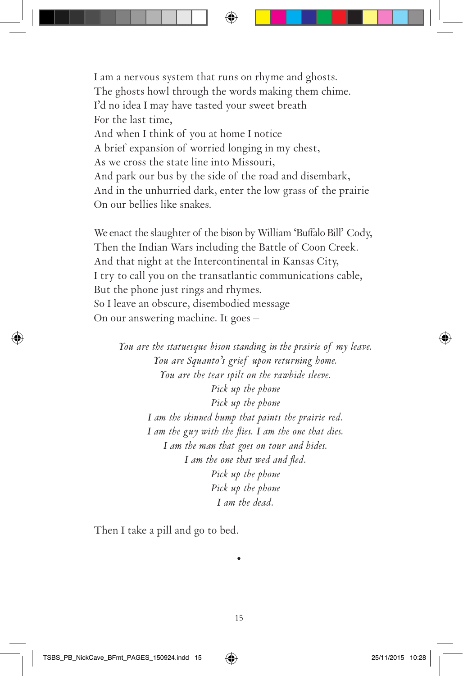I am a nervous system that runs on rhyme and ghosts. The ghosts howl through the words making them chime. I'd no idea I may have tasted your sweet breath For the last time, And when I think of you at home I notice A brief expansion of worried longing in my chest, As we cross the state line into Missouri, And park our bus by the side of the road and disembark, And in the unhurried dark, enter the low grass of the prairie On our bellies like snakes.

We enact the slaughter of the bison by William 'Buffalo Bill' Cody, Then the Indian Wars including the Battle of Coon Creek. And that night at the Intercontinental in Kansas City, I try to call you on the transatlantic communications cable, But the phone just rings and rhymes. So I leave an obscure, disembodied message On our answering machine. It goes –

*You are the statuesque bison standing in the prairie of my leave. You are Squanto's grief upon returning home. You are the tear spilt on the rawhide sleeve. Pick up the phone Pick up the phone I am the skinned hump that paints the prairie red. I am the guy with the flies. I am the one that dies. I am the man that goes on tour and hides. I am the one that wed and fled. Pick up the phone Pick up the phone I am the dead.*

Then I take a pill and go to bed.

•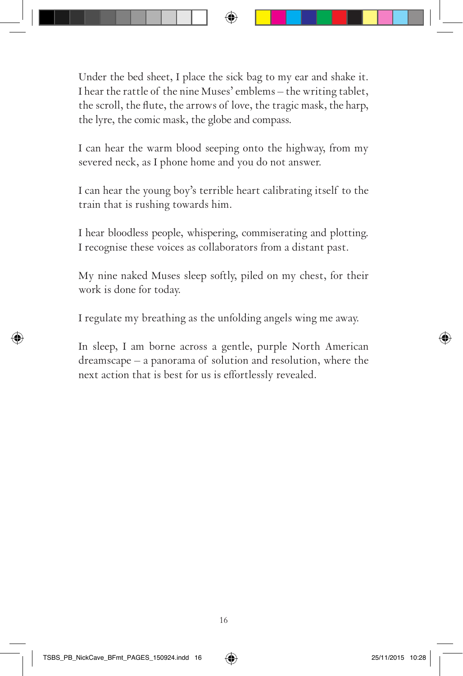Under the bed sheet, I place the sick bag to my ear and shake it. I hear the rattle of the nine Muses' emblems – the writing tablet, the scroll, the flute, the arrows of love, the tragic mask, the harp, the lyre, the comic mask, the globe and compass.

I can hear the warm blood seeping onto the highway, from my severed neck, as I phone home and you do not answer.

I can hear the young boy's terrible heart calibrating itself to the train that is rushing towards him.

I hear bloodless people, whispering, commiserating and plotting. I recognise these voices as collaborators from a distant past.

My nine naked Muses sleep softly, piled on my chest, for their work is done for today.

I regulate my breathing as the unfolding angels wing me away.

In sleep, I am borne across a gentle, purple North American dreamscape – a panorama of solution and resolution, where the next action that is best for us is effortlessly revealed.